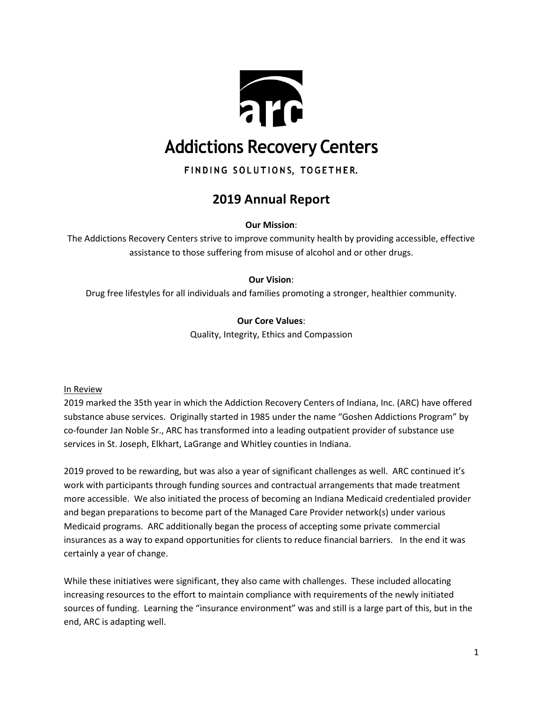

# **Addictions Recovery Centers**

FINDING SOLUTIONS, TOGETHER.

## **2019 Annual Report**

**Our Mission**:

The Addictions Recovery Centers strive to improve community health by providing accessible, effective assistance to those suffering from misuse of alcohol and or other drugs.

#### **Our Vision**:

Drug free lifestyles for all individuals and families promoting a stronger, healthier community.

### **Our Core Values**:

Quality, Integrity, Ethics and Compassion

#### In Review

2019 marked the 35th year in which the Addiction Recovery Centers of Indiana, Inc. (ARC) have offered substance abuse services. Originally started in 1985 under the name "Goshen Addictions Program" by co-founder Jan Noble Sr., ARC has transformed into a leading outpatient provider of substance use services in St. Joseph, Elkhart, LaGrange and Whitley counties in Indiana.

2019 proved to be rewarding, but was also a year of significant challenges as well. ARC continued it's work with participants through funding sources and contractual arrangements that made treatment more accessible. We also initiated the process of becoming an Indiana Medicaid credentialed provider and began preparations to become part of the Managed Care Provider network(s) under various Medicaid programs. ARC additionally began the process of accepting some private commercial insurances as a way to expand opportunities for clients to reduce financial barriers. In the end it was certainly a year of change.

While these initiatives were significant, they also came with challenges. These included allocating increasing resources to the effort to maintain compliance with requirements of the newly initiated sources of funding. Learning the "insurance environment" was and still is a large part of this, but in the end, ARC is adapting well.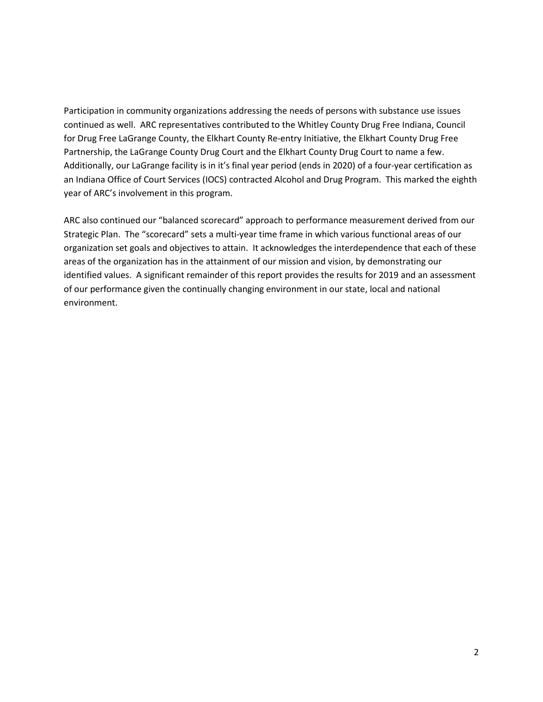Participation in community organizations addressing the needs of persons with substance use issues continued as well. ARC representatives contributed to the Whitley County Drug Free Indiana, Council for Drug Free LaGrange County, the Elkhart County Re-entry Initiative, the Elkhart County Drug Free Partnership, the LaGrange County Drug Court and the Elkhart County Drug Court to name a few. Additionally, our LaGrange facility is in it's final year period (ends in 2020) of a four-year certification as an Indiana Office of Court Services (IOCS) contracted Alcohol and Drug Program. This marked the eighth year of ARC's involvement in this program.

ARC also continued our "balanced scorecard" approach to performance measurement derived from our Strategic Plan. The "scorecard" sets a multi-year time frame in which various functional areas of our organization set goals and objectives to attain. It acknowledges the interdependence that each of these areas of the organization has in the attainment of our mission and vision, by demonstrating our identified values. A significant remainder of this report provides the results for 2019 and an assessment of our performance given the continually changing environment in our state, local and national environment.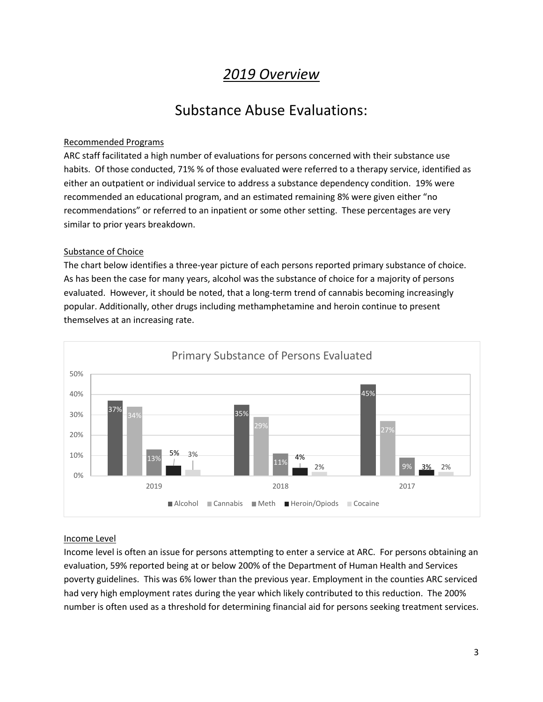## *2019 Overview*

## Substance Abuse Evaluations:

#### Recommended Programs

ARC staff facilitated a high number of evaluations for persons concerned with their substance use habits. Of those conducted, 71% % of those evaluated were referred to a therapy service, identified as either an outpatient or individual service to address a substance dependency condition. 19% were recommended an educational program, and an estimated remaining 8% were given either "no recommendations" or referred to an inpatient or some other setting. These percentages are very similar to prior years breakdown.

#### Substance of Choice

The chart below identifies a three-year picture of each persons reported primary substance of choice. As has been the case for many years, alcohol was the substance of choice for a majority of persons evaluated. However, it should be noted, that a long-term trend of cannabis becoming increasingly popular. Additionally, other drugs including methamphetamine and heroin continue to present themselves at an increasing rate.



#### Income Level

Income level is often an issue for persons attempting to enter a service at ARC. For persons obtaining an evaluation, 59% reported being at or below 200% of the Department of Human Health and Services poverty guidelines. This was 6% lower than the previous year. Employment in the counties ARC serviced had very high employment rates during the year which likely contributed to this reduction. The 200% number is often used as a threshold for determining financial aid for persons seeking treatment services.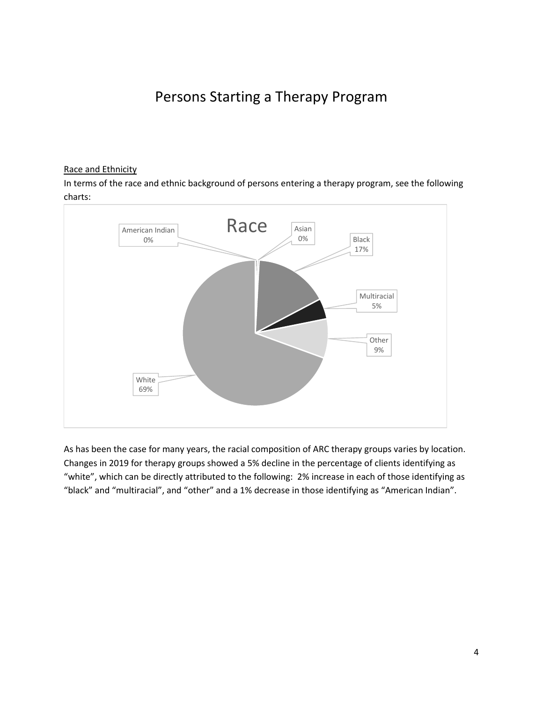## Persons Starting a Therapy Program

#### Race and Ethnicity

In terms of the race and ethnic background of persons entering a therapy program, see the following charts:



As has been the case for many years, the racial composition of ARC therapy groups varies by location. Changes in 2019 for therapy groups showed a 5% decline in the percentage of clients identifying as "white", which can be directly attributed to the following: 2% increase in each of those identifying as "black" and "multiracial", and "other" and a 1% decrease in those identifying as "American Indian".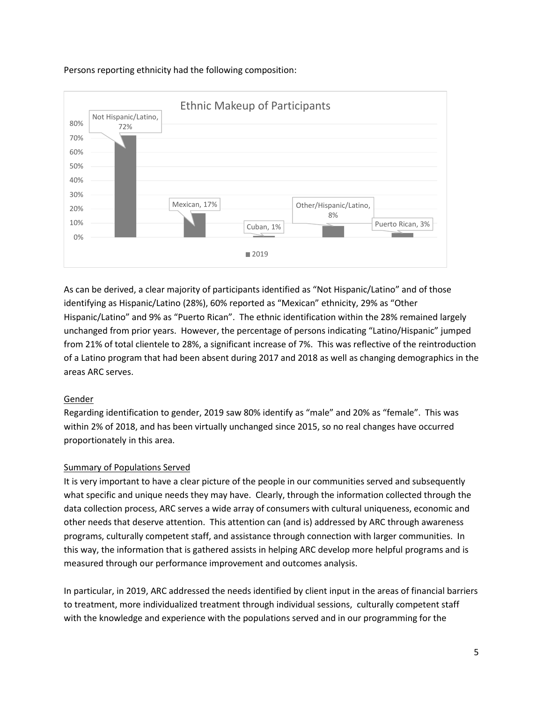#### Persons reporting ethnicity had the following composition:



As can be derived, a clear majority of participants identified as "Not Hispanic/Latino" and of those identifying as Hispanic/Latino (28%), 60% reported as "Mexican" ethnicity, 29% as "Other Hispanic/Latino" and 9% as "Puerto Rican". The ethnic identification within the 28% remained largely unchanged from prior years. However, the percentage of persons indicating "Latino/Hispanic" jumped from 21% of total clientele to 28%, a significant increase of 7%. This was reflective of the reintroduction of a Latino program that had been absent during 2017 and 2018 as well as changing demographics in the areas ARC serves.

#### Gender

Regarding identification to gender, 2019 saw 80% identify as "male" and 20% as "female". This was within 2% of 2018, and has been virtually unchanged since 2015, so no real changes have occurred proportionately in this area.

#### Summary of Populations Served

It is very important to have a clear picture of the people in our communities served and subsequently what specific and unique needs they may have. Clearly, through the information collected through the data collection process, ARC serves a wide array of consumers with cultural uniqueness, economic and other needs that deserve attention. This attention can (and is) addressed by ARC through awareness programs, culturally competent staff, and assistance through connection with larger communities. In this way, the information that is gathered assists in helping ARC develop more helpful programs and is measured through our performance improvement and outcomes analysis.

In particular, in 2019, ARC addressed the needs identified by client input in the areas of financial barriers to treatment, more individualized treatment through individual sessions, culturally competent staff with the knowledge and experience with the populations served and in our programming for the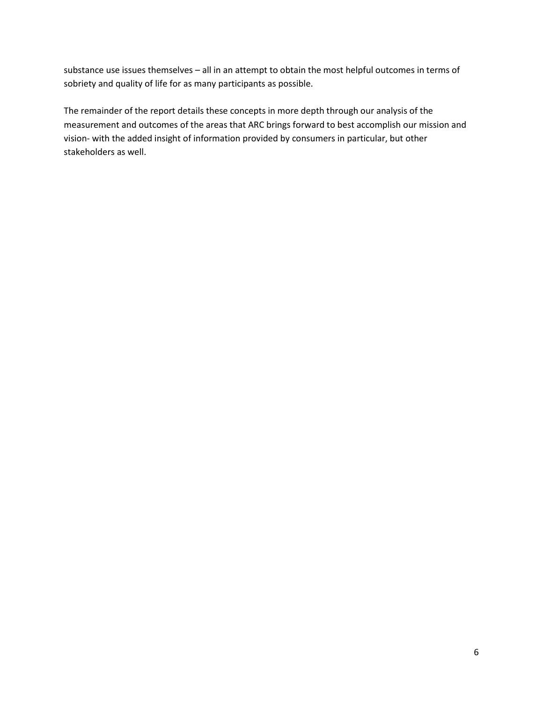substance use issues themselves – all in an attempt to obtain the most helpful outcomes in terms of sobriety and quality of life for as many participants as possible.

The remainder of the report details these concepts in more depth through our analysis of the measurement and outcomes of the areas that ARC brings forward to best accomplish our mission and vision- with the added insight of information provided by consumers in particular, but other stakeholders as well.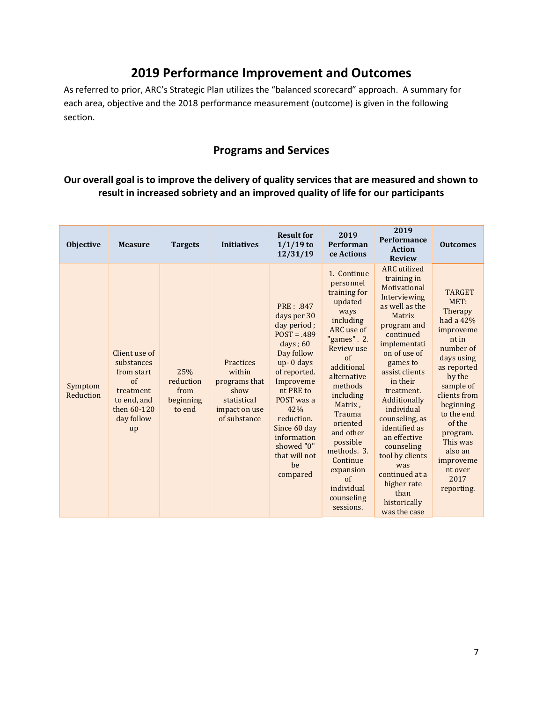## **2019 Performance Improvement and Outcomes**

As referred to prior, ARC's Strategic Plan utilizes the "balanced scorecard" approach. A summary for each area, objective and the 2018 performance measurement (outcome) is given in the following section.

### **Programs and Services**

### **Our overall goal is to improve the delivery of quality services that are measured and shown to result in increased sobriety and an improved quality of life for our participants**

| Objective            | <b>Measure</b>                                                                                                         | <b>Targets</b>                                  | <b>Initiatives</b>                                                                           | <b>Result for</b><br>$1/1/19$ to<br>12/31/19                                                                                                                                                                                                                     | 2019<br>Performan<br>ce Actions                                                                                                                                                                                                                                                                                                                 | 2019<br>Performance<br><b>Action</b><br><b>Review</b>                                                                                                                                                                                                                                                                                                                                                                | <b>Outcomes</b>                                                                                                                                                                                                                                                            |
|----------------------|------------------------------------------------------------------------------------------------------------------------|-------------------------------------------------|----------------------------------------------------------------------------------------------|------------------------------------------------------------------------------------------------------------------------------------------------------------------------------------------------------------------------------------------------------------------|-------------------------------------------------------------------------------------------------------------------------------------------------------------------------------------------------------------------------------------------------------------------------------------------------------------------------------------------------|----------------------------------------------------------------------------------------------------------------------------------------------------------------------------------------------------------------------------------------------------------------------------------------------------------------------------------------------------------------------------------------------------------------------|----------------------------------------------------------------------------------------------------------------------------------------------------------------------------------------------------------------------------------------------------------------------------|
| Symptom<br>Reduction | Client use of<br>substances<br>from start<br>$\alpha$ f<br>treatment<br>to end, and<br>then 60-120<br>day follow<br>up | 25%<br>reduction<br>from<br>beginning<br>to end | Practices<br>within<br>programs that<br>show<br>statistical<br>impact on use<br>of substance | PRE: .847<br>days per 30<br>day period;<br>$POST = .489$<br>days; $60$<br>Day follow<br>$up-0$ days<br>of reported.<br>Improveme<br>nt PRE to<br>POST was a<br>42%<br>reduction.<br>Since 60 day<br>information<br>showed "0"<br>that will not<br>be<br>compared | 1. Continue<br>personnel<br>training for<br>updated<br>ways<br>including<br>ARC use of<br>"games". 2.<br>Review use<br>$\alpha$ f<br>additional<br>alternative<br>methods<br>including<br>Matrix,<br>Trauma<br>oriented<br>and other<br>possible<br>methods, 3.<br>Continue<br>expansion<br>$\alpha$ f<br>individual<br>counseling<br>sessions. | <b>ARC</b> utilized<br>training in<br>Motivational<br>Interviewing<br>as well as the<br>Matrix<br>program and<br>continued<br>implementati<br>on of use of<br>games to<br>assist clients<br>in their<br>treatment.<br>Additionally<br>individual<br>counseling, as<br>identified as<br>an effective<br>counseling<br>tool by clients<br>was<br>continued at a<br>higher rate<br>than<br>historically<br>was the case | <b>TARGET</b><br>MET:<br>Therapy<br>had a 42%<br>improveme<br>nt in<br>number of<br>days using<br>as reported<br>by the<br>sample of<br>clients from<br>beginning<br>to the end<br>of the<br>program.<br>This was<br>also an<br>improveme<br>nt over<br>2017<br>reporting. |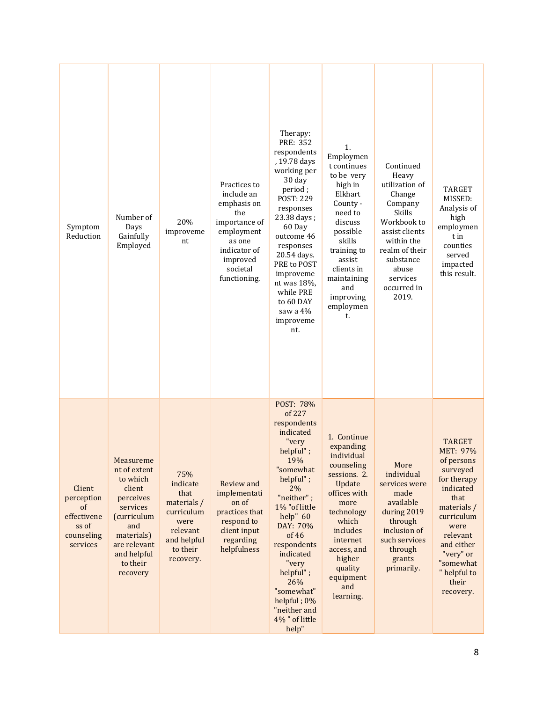| Symptom<br>Reduction                                                         | Number of<br>Days<br>Gainfully<br>Employed                                                                                                                                 | 20%<br>improveme<br>nt                                                                                           | Practices to<br>include an<br>emphasis on<br>the<br>importance of<br>employment<br>as one<br>indicator of<br>improved<br>societal<br>functioning. | Therapy:<br>PRE: 352<br>respondents<br>, 19.78 days<br>working per<br>30 day<br>period;<br>POST: 229<br>responses<br>23.38 days;<br>60 Day<br>outcome 46<br>responses<br>20.54 days.<br>PRE to POST<br>improveme<br>nt was 18%,<br>while PRE<br>to 60 DAY<br>saw a 4%<br>improveme<br>nt.                        | 1.<br>Employmen<br>t continues<br>to be very<br>high in<br>Elkhart<br>County -<br>need to<br>discuss<br>possible<br>skills<br>training to<br>assist<br>clients in<br>maintaining<br>and<br>improving<br>employmen<br>t.    | Continued<br>Heavy<br>utilization of<br>Change<br>Company<br><b>Skills</b><br>Workbook to<br>assist clients<br>within the<br>realm of their<br>substance<br>abuse<br>services<br>occurred in<br>2019. | <b>TARGET</b><br>MISSED:<br>Analysis of<br>high<br>employmen<br>t in<br>counties<br>served<br>impacted<br>this result.                                                                                                 |
|------------------------------------------------------------------------------|----------------------------------------------------------------------------------------------------------------------------------------------------------------------------|------------------------------------------------------------------------------------------------------------------|---------------------------------------------------------------------------------------------------------------------------------------------------|------------------------------------------------------------------------------------------------------------------------------------------------------------------------------------------------------------------------------------------------------------------------------------------------------------------|----------------------------------------------------------------------------------------------------------------------------------------------------------------------------------------------------------------------------|-------------------------------------------------------------------------------------------------------------------------------------------------------------------------------------------------------|------------------------------------------------------------------------------------------------------------------------------------------------------------------------------------------------------------------------|
| Client<br>perception<br>of<br>effectivene<br>ss of<br>counseling<br>services | <b>Measureme</b><br>nt of extent<br>to which<br>client<br>perceives<br>services<br>(curriculum<br>and<br>materials)<br>are relevant<br>and helpful<br>to their<br>recovery | 75%<br>indicate<br>that<br>materials /<br>curriculum<br>were<br>relevant<br>and helpful<br>to their<br>recovery. | Review and<br>implementati<br>on of<br>practices that<br>respond to<br>client input<br>regarding<br>helpfulness                                   | POST: 78%<br>of 227<br>respondents<br>indicated<br>"very<br>helpful";<br>19%<br>"somewhat<br>helpful";<br>2%<br>"neither";<br>1% "of little<br>help" 60<br>DAY: 70%<br>of 46<br>respondents<br>indicated<br>"very<br>helpful";<br>26%<br>"somewhat"<br>helpful; $0\%$<br>"neither and<br>4% " of little<br>help" | 1. Continue<br>expanding<br>individual<br>counseling<br>sessions. 2.<br>Update<br>offices with<br>more<br>technology<br>which<br>includes<br>internet<br>access, and<br>higher<br>quality<br>equipment<br>and<br>learning. | More<br>individual<br>services were<br>made<br>available<br>during 2019<br>through<br>inclusion of<br>such services<br>through<br>grants<br>primarily.                                                | <b>TARGET</b><br>MET: 97%<br>of persons<br>surveyed<br>for therapy<br>indicated<br>that<br>materials /<br>curriculum<br>were<br>relevant<br>and either<br>"very" or<br>"somewhat<br>" helpful to<br>their<br>recovery. |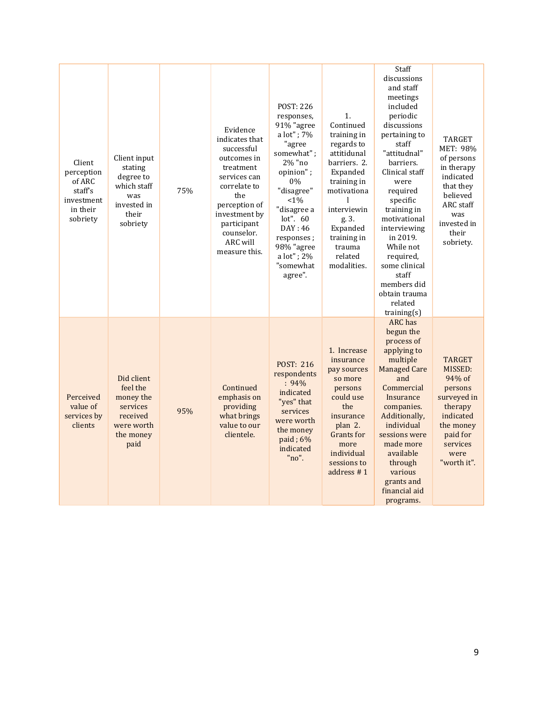| Client<br>perception<br>of ARC<br>staff's<br>investment<br>in their<br>sobriety | Client input<br>stating<br>degree to<br>which staff<br>was<br>invested in<br>their<br>sobriety | 75% | Evidence<br>indicates that<br>successful<br>outcomes in<br>treatment<br>services can<br>correlate to<br>the<br>perception of<br>investment by<br>participant<br>counselor.<br>ARC will<br>measure this. | POST: 226<br>responses,<br>91% "agree<br>a lot"; 7%<br>"agree<br>somewhat" :<br>2% "no<br>opinion" ;<br>0%<br>"disagree"<br>$< 1\%$<br>"disagree a<br>lot". 60<br>DAY:46<br>responses;<br>98% "agree<br>a lot"; $2\%$<br>"somewhat<br>agree". | 1.<br>Continued<br>training in<br>regards to<br>attitidunal<br>barriers. 2.<br>Expanded<br>training in<br>motivationa<br>1<br>interviewin<br>g. 3.<br>Expanded<br>training in<br>trauma<br>related<br>modalities. | Staff<br>discussions<br>and staff<br>meetings<br>included<br>periodic<br>discussions<br>pertaining to<br>staff<br>"attitudnal"<br>barriers.<br>Clinical staff<br>were<br>required<br>specific<br>training in<br>motivational<br>interviewing<br>in 2019.<br>While not<br>required,<br>some clinical<br>staff<br>members did<br>obtain trauma<br>related<br>training(s) | <b>TARGET</b><br>MET: 98%<br>of persons<br>in therapy<br>indicated<br>that they<br>believed<br>ARC staff<br>was<br>invested in<br>their<br>sobriety. |
|---------------------------------------------------------------------------------|------------------------------------------------------------------------------------------------|-----|---------------------------------------------------------------------------------------------------------------------------------------------------------------------------------------------------------|-----------------------------------------------------------------------------------------------------------------------------------------------------------------------------------------------------------------------------------------------|-------------------------------------------------------------------------------------------------------------------------------------------------------------------------------------------------------------------|------------------------------------------------------------------------------------------------------------------------------------------------------------------------------------------------------------------------------------------------------------------------------------------------------------------------------------------------------------------------|------------------------------------------------------------------------------------------------------------------------------------------------------|
| Perceived<br>value of<br>services by<br>clients                                 | Did client<br>feel the<br>money the<br>services<br>received<br>were worth<br>the money<br>paid | 95% | Continued<br>emphasis on<br>providing<br>what brings<br>value to our<br>clientele.                                                                                                                      | <b>POST: 216</b><br>respondents<br>$: 94\%$<br>indicated<br>"yes" that<br>services<br>were worth<br>the money<br>paid; $6\%$<br>indicated<br>"no".                                                                                            | 1. Increase<br>insurance<br>pay sources<br>so more<br>persons<br>could use<br>the<br>insurance<br>plan 2.<br><b>Grants</b> for<br>more<br>individual<br>sessions to<br>address $# 1$                              | ARC has<br>begun the<br>process of<br>applying to<br>multiple<br><b>Managed Care</b><br>and<br>Commercial<br>Insurance<br>companies.<br>Additionally,<br>individual<br>sessions were<br>made more<br>available<br>through<br>various<br>grants and<br>financial aid<br>programs.                                                                                       | <b>TARGET</b><br>MISSED:<br>94% of<br>persons<br>surveyed in<br>therapy<br>indicated<br>the money<br>paid for<br>services<br>were<br>"worth it".     |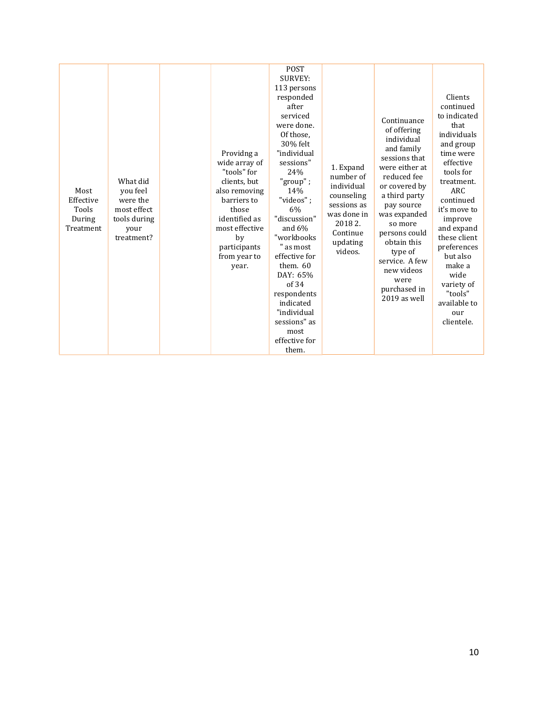| Most<br>Effective<br>Tools<br>During<br>Treatment | What did<br>vou feel<br>were the<br>most effect<br>tools during<br>your<br>treatment? |  | Providng a<br>wide array of<br>"tools" for<br>clients, but<br>also removing<br>barriers to<br>those<br>identified as<br>most effective<br>by<br>participants<br>from year to<br>year. | <b>POST</b><br><b>SURVEY:</b><br>113 persons<br>responded<br>after<br>serviced<br>were done.<br>Of those,<br>30% felt<br>"individual<br>sessions"<br>24%<br>"group";<br>14%<br>"videos" ;<br>6%<br>"discussion"<br>and $6%$<br>"workbooks<br>" as most<br>effective for<br>them. 60<br>DAY: 65%<br>of 34<br>respondents<br>indicated<br>"individual<br>sessions" as<br>most<br>effective for<br>them. | 1. Expand<br>number of<br>individual<br>counseling<br>sessions as<br>was done in<br>20182.<br>Continue<br>updating<br>videos. | Continuance<br>of offering<br>individual<br>and family<br>sessions that<br>were either at<br>reduced fee<br>or covered by<br>a third party<br>pay source<br>was expanded<br>so more<br>persons could<br>obtain this<br>type of<br>service. A few<br>new videos<br>were<br>purchased in<br>2019 as well | Clients<br>continued<br>to indicated<br>that<br>individuals<br>and group<br>time were<br>effective<br>tools for<br>treatment.<br><b>ARC</b><br>continued<br>it's move to<br>improve<br>and expand<br>these client<br>preferences<br>but also<br>make a<br>wide<br>variety of<br>"tools"<br>available to<br>our<br>clientele. |
|---------------------------------------------------|---------------------------------------------------------------------------------------|--|---------------------------------------------------------------------------------------------------------------------------------------------------------------------------------------|-------------------------------------------------------------------------------------------------------------------------------------------------------------------------------------------------------------------------------------------------------------------------------------------------------------------------------------------------------------------------------------------------------|-------------------------------------------------------------------------------------------------------------------------------|--------------------------------------------------------------------------------------------------------------------------------------------------------------------------------------------------------------------------------------------------------------------------------------------------------|------------------------------------------------------------------------------------------------------------------------------------------------------------------------------------------------------------------------------------------------------------------------------------------------------------------------------|
|---------------------------------------------------|---------------------------------------------------------------------------------------|--|---------------------------------------------------------------------------------------------------------------------------------------------------------------------------------------|-------------------------------------------------------------------------------------------------------------------------------------------------------------------------------------------------------------------------------------------------------------------------------------------------------------------------------------------------------------------------------------------------------|-------------------------------------------------------------------------------------------------------------------------------|--------------------------------------------------------------------------------------------------------------------------------------------------------------------------------------------------------------------------------------------------------------------------------------------------------|------------------------------------------------------------------------------------------------------------------------------------------------------------------------------------------------------------------------------------------------------------------------------------------------------------------------------|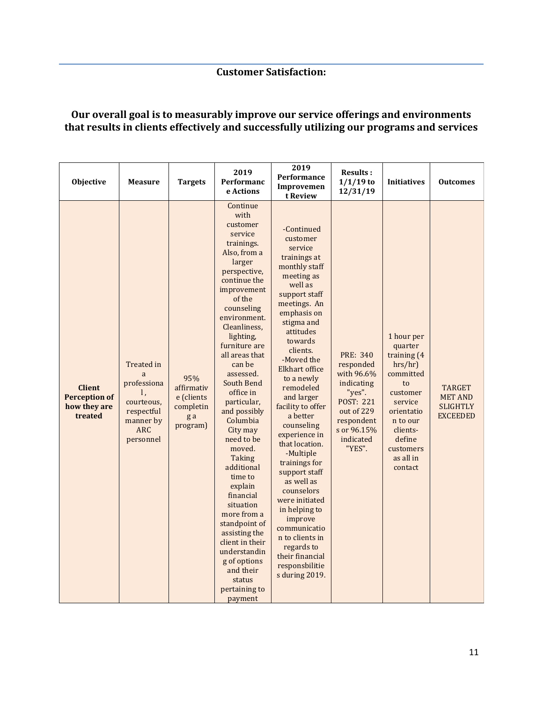### **Customer Satisfaction:**

### **Our overall goal is to measurably improve our service offerings and environments that results in clients effectively and successfully utilizing our programs and services**

| Objective                                                        | <b>Measure</b>                                                                                           | <b>Targets</b>                                                  | 2019<br>Performanc<br>e Actions                                                                                                                                                                                                                                                                                                                                                                                                                                                                                                                                                                        | 2019<br>Performance<br>Improvemen<br>t Review                                                                                                                                                                                                                                                                                                                                                                                                                                                                                                                                             | <b>Results:</b><br>$1/1/19$ to<br>12/31/19                                                                                                        | <b>Initiatives</b>                                                                                                                                                            | <b>Outcomes</b>                                                       |
|------------------------------------------------------------------|----------------------------------------------------------------------------------------------------------|-----------------------------------------------------------------|--------------------------------------------------------------------------------------------------------------------------------------------------------------------------------------------------------------------------------------------------------------------------------------------------------------------------------------------------------------------------------------------------------------------------------------------------------------------------------------------------------------------------------------------------------------------------------------------------------|-------------------------------------------------------------------------------------------------------------------------------------------------------------------------------------------------------------------------------------------------------------------------------------------------------------------------------------------------------------------------------------------------------------------------------------------------------------------------------------------------------------------------------------------------------------------------------------------|---------------------------------------------------------------------------------------------------------------------------------------------------|-------------------------------------------------------------------------------------------------------------------------------------------------------------------------------|-----------------------------------------------------------------------|
| <b>Client</b><br><b>Perception of</b><br>how they are<br>treated | Treated in<br>a<br>professiona<br>Ι,<br>courteous,<br>respectful<br>manner by<br><b>ARC</b><br>personnel | 95%<br>affirmativ<br>e (clients<br>completin<br>g a<br>program) | Continue<br>with<br>customer<br>service<br>trainings.<br>Also, from a<br>larger<br>perspective,<br>continue the<br>improvement<br>of the<br>counseling<br>environment.<br>Cleanliness.<br>lighting,<br>furniture are<br>all areas that<br>can be<br>assessed.<br>South Bend<br>office in<br>particular,<br>and possibly<br>Columbia<br>City may<br>need to be<br>moved.<br>Taking<br>additional<br>time to<br>explain<br>financial<br>situation<br>more from a<br>standpoint of<br>assisting the<br>client in their<br>understandin<br>g of options<br>and their<br>status<br>pertaining to<br>payment | -Continued<br>customer<br>service<br>trainings at<br>monthly staff<br>meeting as<br>well as<br>support staff<br>meetings. An<br>emphasis on<br>stigma and<br>attitudes<br>towards<br>clients.<br>-Moved the<br>Elkhart office<br>to a newly<br>remodeled<br>and larger<br>facility to offer<br>a better<br>counseling<br>experience in<br>that location.<br>-Multiple<br>trainings for<br>support staff<br>as well as<br>counselors<br>were initiated<br>in helping to<br>improve<br>communicatio<br>n to clients in<br>regards to<br>their financial<br>responsbilitie<br>s during 2019. | <b>PRE: 340</b><br>responded<br>with 96.6%<br>indicating<br>"yes".<br>POST: 221<br>out of 229<br>respondent<br>s or 96.15%<br>indicated<br>"YES". | 1 hour per<br>quarter<br>training (4<br>hrs/hr<br>committed<br>to<br>customer<br>service<br>orientatio<br>n to our<br>clients-<br>define<br>customers<br>as all in<br>contact | <b>TARGET</b><br><b>MET AND</b><br><b>SLIGHTLY</b><br><b>EXCEEDED</b> |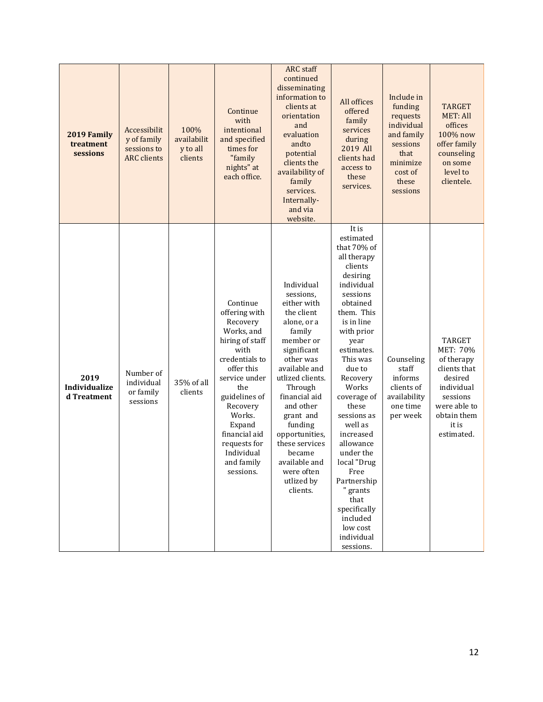| 2019 Family<br>treatment<br>sessions        | Accessibilit<br>y of family<br>sessions to<br><b>ARC</b> clients | 100%<br>availabilit<br>y to all<br>clients | Continue<br>with<br>intentional<br>and specified<br>times for<br>"family<br>nights" at<br>each office.                                                                                                                                                            | <b>ARC</b> staff<br>continued<br>disseminating<br>information to<br>clients at<br>orientation<br>and<br>evaluation<br>andto<br>potential<br>clients the<br>availability of<br>family<br>services.<br>Internally-<br>and via<br>website.                                                                                             | All offices<br>offered<br>family<br>services<br>during<br>2019 All<br>clients had<br>access to<br>these<br>services.                                                                                                                                                                                                                                                                                                                           | Include in<br>funding<br>requests<br>individual<br>and family<br>sessions<br>that<br>minimize<br>cost of<br>these<br>sessions | <b>TARGET</b><br><b>MET: All</b><br>offices<br>100% now<br>offer family<br>counseling<br>on some<br>level to<br>clientele.                         |
|---------------------------------------------|------------------------------------------------------------------|--------------------------------------------|-------------------------------------------------------------------------------------------------------------------------------------------------------------------------------------------------------------------------------------------------------------------|-------------------------------------------------------------------------------------------------------------------------------------------------------------------------------------------------------------------------------------------------------------------------------------------------------------------------------------|------------------------------------------------------------------------------------------------------------------------------------------------------------------------------------------------------------------------------------------------------------------------------------------------------------------------------------------------------------------------------------------------------------------------------------------------|-------------------------------------------------------------------------------------------------------------------------------|----------------------------------------------------------------------------------------------------------------------------------------------------|
| 2019<br><b>Individualize</b><br>d Treatment | Number of<br>individual<br>or family<br>sessions                 | 35% of all<br>clients                      | Continue<br>offering with<br>Recovery<br>Works, and<br>hiring of staff<br>with<br>credentials to<br>offer this<br>service under<br>the<br>guidelines of<br>Recovery<br>Works.<br>Expand<br>financial aid<br>requests for<br>Individual<br>and family<br>sessions. | Individual<br>sessions,<br>either with<br>the client<br>alone, or a<br>family<br>member or<br>significant<br>other was<br>available and<br>utlized clients.<br>Through<br>financial aid<br>and other<br>grant and<br>funding<br>opportunities,<br>these services<br>became<br>available and<br>were often<br>utlized by<br>clients. | It is<br>estimated<br>that 70% of<br>all therapy<br>clients<br>desiring<br>individual<br>sessions<br>obtained<br>them. This<br>is in line<br>with prior<br>year<br>estimates.<br>This was<br>due to<br>Recovery<br>Works<br>coverage of<br>these<br>sessions as<br>well as<br>increased<br>allowance<br>under the<br>local "Drug<br>Free<br>Partnership<br>" grants<br>that<br>specifically<br>included<br>low cost<br>individual<br>sessions. | Counseling<br>staff<br>informs<br>clients of<br>availability<br>one time<br>per week                                          | <b>TARGET</b><br>MET: 70%<br>of therapy<br>clients that<br>desired<br>individual<br>sessions<br>were able to<br>obtain them<br>it is<br>estimated. |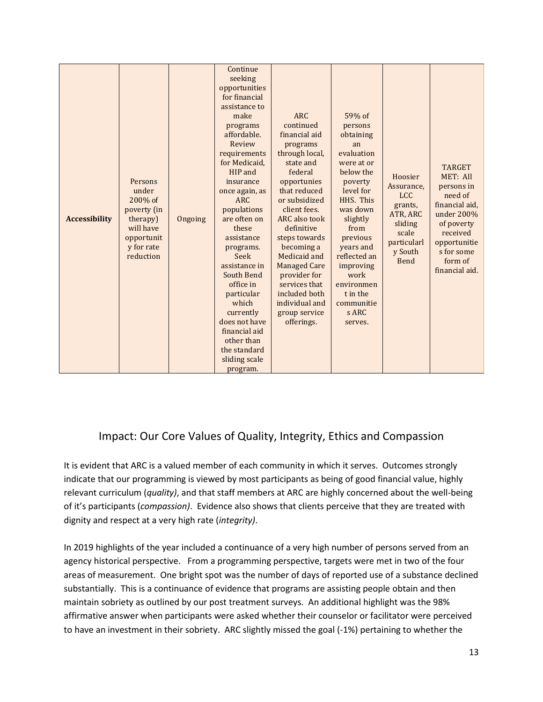| <b>Accessibility</b> | Persons<br>under<br>200% of<br>poverty (in<br>therapy)<br>will have<br>opportunit<br>y for rate<br>reduction | Ongoing | Continue<br>seeking<br>opportunities<br>for financial<br>assistance to<br>make<br>programs<br>affordable.<br>Review<br>requirements<br>for Medicaid,<br>HIP and<br>insurance<br>once again, as<br><b>ARC</b><br>populations<br>are often on<br>these<br>assistance<br>programs.<br>Seek<br>assistance in<br>South Bend<br>office in<br>particular<br>which<br>currently<br>does not have<br>financial aid<br>other than<br>the standard<br>sliding scale<br>program. | <b>ARC</b><br>continued<br>financial aid<br>programs<br>through local,<br>state and<br>federal<br>opportunies<br>that reduced<br>or subsidized<br>client fees.<br>ARC also took<br>definitive<br>steps towards<br>becoming a<br>Medicaid and<br><b>Managed Care</b><br>provider for<br>services that<br>included both<br>individual and<br>group service<br>offerings. | 59% of<br>persons<br>obtaining<br>an<br>evaluation<br>were at or<br>below the<br>poverty<br>level for<br>HHS. This<br>was down<br>slightly<br>from<br>previous<br>years and<br>reflected an<br>improving<br>work<br>environmen<br>t in the<br>communitie<br>s ARC<br>serves. | Hoosier<br>Assurance,<br><b>LCC</b><br>grants,<br>ATR, ARC<br>sliding<br>scale<br>particularl<br>y South<br>Bend | <b>TARGET</b><br>MET: All<br>persons in<br>need of<br>financial aid,<br>under 200%<br>of poverty<br>received<br>opportunitie<br>s for some<br>form of<br>financial aid. |
|----------------------|--------------------------------------------------------------------------------------------------------------|---------|----------------------------------------------------------------------------------------------------------------------------------------------------------------------------------------------------------------------------------------------------------------------------------------------------------------------------------------------------------------------------------------------------------------------------------------------------------------------|------------------------------------------------------------------------------------------------------------------------------------------------------------------------------------------------------------------------------------------------------------------------------------------------------------------------------------------------------------------------|------------------------------------------------------------------------------------------------------------------------------------------------------------------------------------------------------------------------------------------------------------------------------|------------------------------------------------------------------------------------------------------------------|-------------------------------------------------------------------------------------------------------------------------------------------------------------------------|
|----------------------|--------------------------------------------------------------------------------------------------------------|---------|----------------------------------------------------------------------------------------------------------------------------------------------------------------------------------------------------------------------------------------------------------------------------------------------------------------------------------------------------------------------------------------------------------------------------------------------------------------------|------------------------------------------------------------------------------------------------------------------------------------------------------------------------------------------------------------------------------------------------------------------------------------------------------------------------------------------------------------------------|------------------------------------------------------------------------------------------------------------------------------------------------------------------------------------------------------------------------------------------------------------------------------|------------------------------------------------------------------------------------------------------------------|-------------------------------------------------------------------------------------------------------------------------------------------------------------------------|

## Impact: Our Core Values of Quality, Integrity, Ethics and Compassion

It is evident that ARC is a valued member of each community in which it serves. Outcomes strongly indicate that our programming is viewed by most participants as being of good financial value, highly relevant curriculum (*quality)*, and that staff members at ARC are highly concerned about the well-being of it's participants (*compassion)*. Evidence also shows that clients perceive that they are treated with dignity and respect at a very high rate (*integrity)*.

In 2019 highlights of the year included a continuance of a very high number of persons served from an agency historical perspective. From a programming perspective, targets were met in two of the four areas of measurement. One bright spot was the number of days of reported use of a substance declined substantially. This is a continuance of evidence that programs are assisting people obtain and then maintain sobriety as outlined by our post treatment surveys. An additional highlight was the 98% affirmative answer when participants were asked whether their counselor or facilitator were perceived to have an investment in their sobriety. ARC slightly missed the goal (-1%) pertaining to whether the